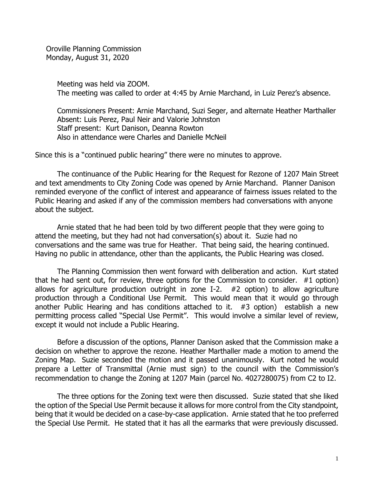Oroville Planning Commission Monday, August 31, 2020

> Meeting was held via ZOOM. The meeting was called to order at 4:45 by Arnie Marchand, in Luiz Perez's absence.

Commissioners Present: Arnie Marchand, Suzi Seger, and alternate Heather Marthaller Absent: Luis Perez, Paul Neir and Valorie Johnston Staff present: Kurt Danison, Deanna Rowton Also in attendance were Charles and Danielle McNeil

Since this is a "continued public hearing" there were no minutes to approve.

The continuance of the Public Hearing for the Request for Rezone of 1207 Main Street and text amendments to City Zoning Code was opened by Arnie Marchand. Planner Danison reminded everyone of the conflict of interest and appearance of fairness issues related to the Public Hearing and asked if any of the commission members had conversations with anyone about the subject.

Arnie stated that he had been told by two different people that they were going to attend the meeting, but they had not had conversation(s) about it. Suzie had no conversations and the same was true for Heather. That being said, the hearing continued. Having no public in attendance, other than the applicants, the Public Hearing was closed.

The Planning Commission then went forward with deliberation and action. Kurt stated that he had sent out, for review, three options for the Commission to consider. #1 option) allows for agriculture production outright in zone I-2. #2 option) to allow agriculture production through a Conditional Use Permit. This would mean that it would go through another Public Hearing and has conditions attached to it.  $#3$  option) establish a new permitting process called "Special Use Permit". This would involve a similar level of review, except it would not include a Public Hearing.

Before a discussion of the options, Planner Danison asked that the Commission make a decision on whether to approve the rezone. Heather Marthaller made a motion to amend the Zoning Map. Suzie seconded the motion and it passed unanimously. Kurt noted he would prepare a Letter of Transmittal (Arnie must sign) to the council with the Commission's recommendation to change the Zoning at 1207 Main (parcel No. 4027280075) from C2 to I2.

The three options for the Zoning text were then discussed. Suzie stated that she liked the option of the Special Use Permit because it allows for more control from the City standpoint, being that it would be decided on a case-by-case application. Arnie stated that he too preferred the Special Use Permit. He stated that it has all the earmarks that were previously discussed.